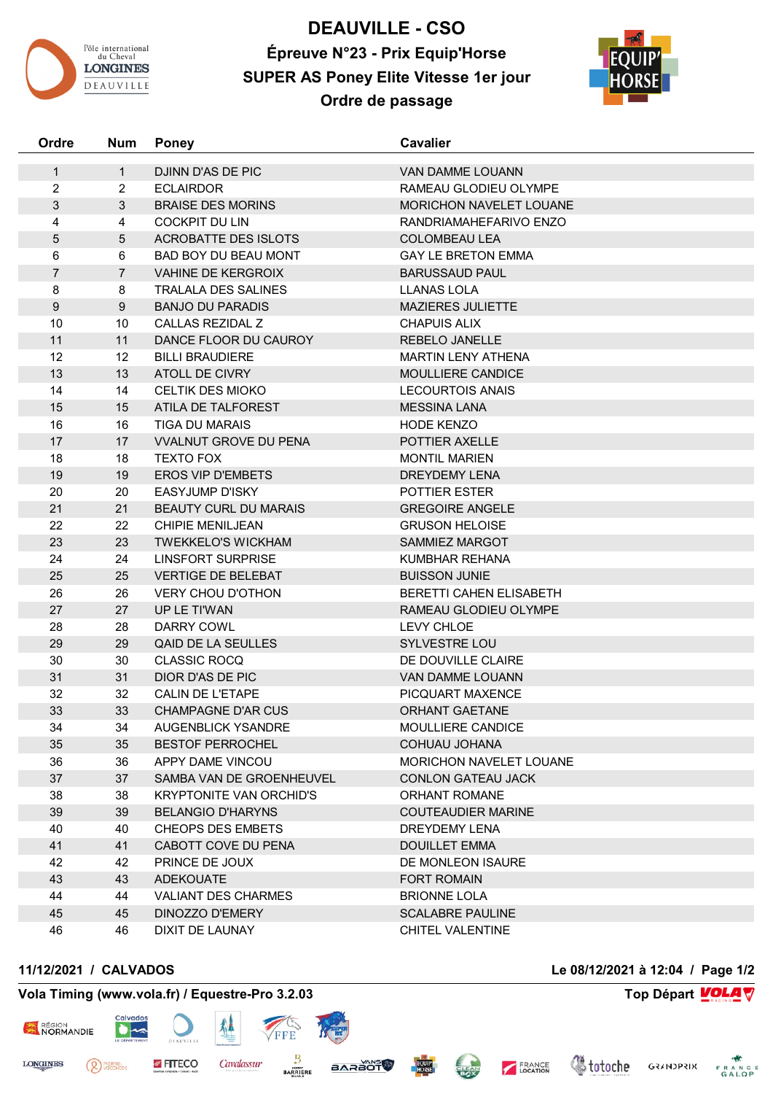

## **DEAUVILLE - CSO Épreuve N°23 - Prix Equip'Horse SUPER AS Poney Elite Vitesse 1er jour Ordre de passage**



| Ordre            | <b>Num</b>     | <b>Poney</b>                   | <b>Cavalier</b>                |
|------------------|----------------|--------------------------------|--------------------------------|
| $\mathbf{1}$     | $\mathbf{1}$   | DJINN D'AS DE PIC              | VAN DAMME LOUANN               |
| $\overline{2}$   | $\overline{2}$ | <b>ECLAIRDOR</b>               | RAMEAU GLODIEU OLYMPE          |
| 3                | 3              | <b>BRAISE DES MORINS</b>       | <b>MORICHON NAVELET LOUANE</b> |
| 4                | 4              | <b>COCKPIT DU LIN</b>          | RANDRIAMAHEFARIVO ENZO         |
| 5                | 5              | <b>ACROBATTE DES ISLOTS</b>    | <b>COLOMBEAU LEA</b>           |
| 6                | 6              | BAD BOY DU BEAU MONT           | <b>GAY LE BRETON EMMA</b>      |
| $\overline{7}$   | $\overline{7}$ | <b>VAHINE DE KERGROIX</b>      | <b>BARUSSAUD PAUL</b>          |
| 8                | 8              | <b>TRALALA DES SALINES</b>     | <b>LLANAS LOLA</b>             |
| $\boldsymbol{9}$ | 9              | <b>BANJO DU PARADIS</b>        | MAZIERES JULIETTE              |
| 10               | 10             | CALLAS REZIDAL Z               | <b>CHAPUIS ALIX</b>            |
| 11               | 11             | DANCE FLOOR DU CAUROY          | REBELO JANELLE                 |
| 12               | 12             | <b>BILLI BRAUDIERE</b>         | <b>MARTIN LENY ATHENA</b>      |
| 13               | 13             | ATOLL DE CIVRY                 | MOULLIERE CANDICE              |
| 14               | 14             | <b>CELTIK DES MIOKO</b>        | <b>LECOURTOIS ANAIS</b>        |
| 15               | 15             | ATILA DE TALFOREST             | <b>MESSINA LANA</b>            |
| 16               | 16             | <b>TIGA DU MARAIS</b>          | <b>HODE KENZO</b>              |
| 17               | 17             | <b>VVALNUT GROVE DU PENA</b>   | <b>POTTIER AXELLE</b>          |
| 18               | 18             | <b>TEXTO FOX</b>               | <b>MONTIL MARIEN</b>           |
| 19               | 19             | <b>EROS VIP D'EMBETS</b>       | <b>DREYDEMY LENA</b>           |
| 20               | 20             | <b>EASYJUMP D'ISKY</b>         | <b>POTTIER ESTER</b>           |
| 21               | 21             | <b>BEAUTY CURL DU MARAIS</b>   | <b>GREGOIRE ANGELE</b>         |
| 22               | 22             | <b>CHIPIE MENILJEAN</b>        | <b>GRUSON HELOISE</b>          |
| 23               | 23             | <b>TWEKKELO'S WICKHAM</b>      | <b>SAMMIEZ MARGOT</b>          |
| 24               | 24             | <b>LINSFORT SURPRISE</b>       | KUMBHAR REHANA                 |
| 25               | 25             | <b>VERTIGE DE BELEBAT</b>      | <b>BUISSON JUNIE</b>           |
| 26               | 26             | <b>VERY CHOU D'OTHON</b>       | BERETTI CAHEN ELISABETH        |
| 27               | 27             | UP LE TI'WAN                   | RAMEAU GLODIEU OLYMPE          |
| 28               | 28             | DARRY COWL                     | LEVY CHLOE                     |
| 29               | 29             | QAID DE LA SEULLES             | SYLVESTRE LOU                  |
| 30               | 30             | <b>CLASSIC ROCQ</b>            | DE DOUVILLE CLAIRE             |
| 31               | 31             | DIOR D'AS DE PIC               | VAN DAMME LOUANN               |
| 32               | 32             | CALIN DE L'ETAPE               | PICQUART MAXENCE               |
| 33               | 33             | <b>CHAMPAGNE D'AR CUS</b>      | ORHANT GAETANE                 |
| 34               | 34             | <b>AUGENBLICK YSANDRE</b>      | MOULLIERE CANDICE              |
| 35               | 35             | <b>BESTOF PERROCHEL</b>        | COHUAU JOHANA                  |
| 36               | 36             | APPY DAME VINCOU               | <b>MORICHON NAVELET LOUANE</b> |
| 37               | 37             | SAMBA VAN DE GROENHEUVEL       | CONLON GATEAU JACK             |
| 38               | 38             | <b>KRYPTONITE VAN ORCHID'S</b> | <b>ORHANT ROMANE</b>           |
| 39               | 39             | <b>BELANGIO D'HARYNS</b>       | <b>COUTEAUDIER MARINE</b>      |
| 40               | 40             | <b>CHEOPS DES EMBETS</b>       | <b>DREYDEMY LENA</b>           |
| 41               | 41             | CABOTT COVE DU PENA            | <b>DOUILLET EMMA</b>           |
| 42               | 42             | PRINCE DE JOUX                 | DE MONLEON ISAURE              |
| 43               | 43             | <b>ADEKOUATE</b>               | <b>FORT ROMAIN</b>             |
| 44               | 44             | <b>VALIANT DES CHARMES</b>     | <b>BRIONNE LOLA</b>            |
| 45               | 45             | DINOZZO D'EMERY                | <b>SCALABRE PAULINE</b>        |
| 46               | 46             | DIXIT DE LAUNAY                | CHITEL VALENTINE               |

**11/12/2021 / CALVADOS Le 08/12/2021 à 12:04 / Page 1/2**

<sup>PIERRE</sup>

## **Vola Timing (www.vola.fr) / Equestre-Pro 3.2.03 Top Départ VOLA**

FITECO

 $\bullet$ 

丛

Cavalassur

FFF

₿

**BARRIERE** 



**LONGINES**